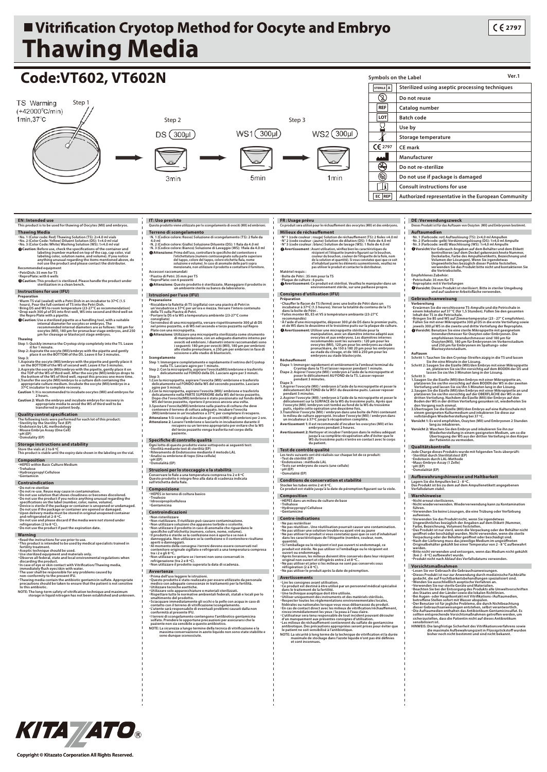## ■ Vitrification Cryotop Method for Oocyte and Embryo **Thawing Media**